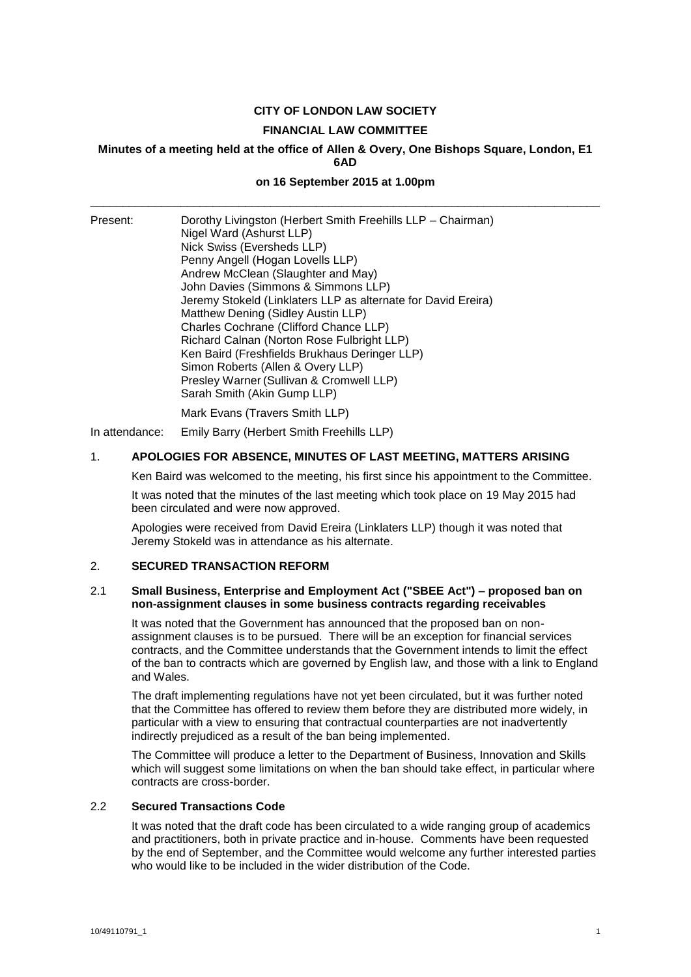# **CITY OF LONDON LAW SOCIETY**

#### **FINANCIAL LAW COMMITTEE**

#### **Minutes of a meeting held at the office of Allen & Overy, One Bishops Square, London, E1 6AD**

# **on 16 September 2015 at 1.00pm** \_\_\_\_\_\_\_\_\_\_\_\_\_\_\_\_\_\_\_\_\_\_\_\_\_\_\_\_\_\_\_\_\_\_\_\_\_\_\_\_\_\_\_\_\_\_\_\_\_\_\_\_\_\_\_\_\_\_\_\_\_\_\_\_\_\_\_\_\_\_\_\_\_\_\_\_\_\_\_

Present: Dorothy Livingston (Herbert Smith Freehills LLP – Chairman) Nigel Ward (Ashurst LLP) Nick Swiss (Eversheds LLP) Penny Angell (Hogan Lovells LLP) Andrew McClean (Slaughter and May) John Davies (Simmons & Simmons LLP) Jeremy Stokeld (Linklaters LLP as alternate for David Ereira) Matthew Dening (Sidley Austin LLP) Charles Cochrane (Clifford Chance LLP) Richard Calnan (Norton Rose Fulbright LLP) Ken Baird (Freshfields Brukhaus Deringer LLP) Simon Roberts (Allen & Overy LLP) Presley Warner (Sullivan & Cromwell LLP) Sarah Smith (Akin Gump LLP) Mark Evans (Travers Smith LLP)

In attendance: Emily Barry (Herbert Smith Freehills LLP)

#### 1. **APOLOGIES FOR ABSENCE, MINUTES OF LAST MEETING, MATTERS ARISING**

Ken Baird was welcomed to the meeting, his first since his appointment to the Committee.

It was noted that the minutes of the last meeting which took place on 19 May 2015 had been circulated and were now approved.

Apologies were received from David Ereira (Linklaters LLP) though it was noted that Jeremy Stokeld was in attendance as his alternate.

#### 2. **SECURED TRANSACTION REFORM**

#### 2.1 **Small Business, Enterprise and Employment Act ("SBEE Act") – proposed ban on non-assignment clauses in some business contracts regarding receivables**

It was noted that the Government has announced that the proposed ban on nonassignment clauses is to be pursued. There will be an exception for financial services contracts, and the Committee understands that the Government intends to limit the effect of the ban to contracts which are governed by English law, and those with a link to England and Wales.

The draft implementing regulations have not yet been circulated, but it was further noted that the Committee has offered to review them before they are distributed more widely, in particular with a view to ensuring that contractual counterparties are not inadvertently indirectly prejudiced as a result of the ban being implemented.

The Committee will produce a letter to the Department of Business, Innovation and Skills which will suggest some limitations on when the ban should take effect, in particular where contracts are cross-border.

#### 2.2 **Secured Transactions Code**

It was noted that the draft code has been circulated to a wide ranging group of academics and practitioners, both in private practice and in-house. Comments have been requested by the end of September, and the Committee would welcome any further interested parties who would like to be included in the wider distribution of the Code.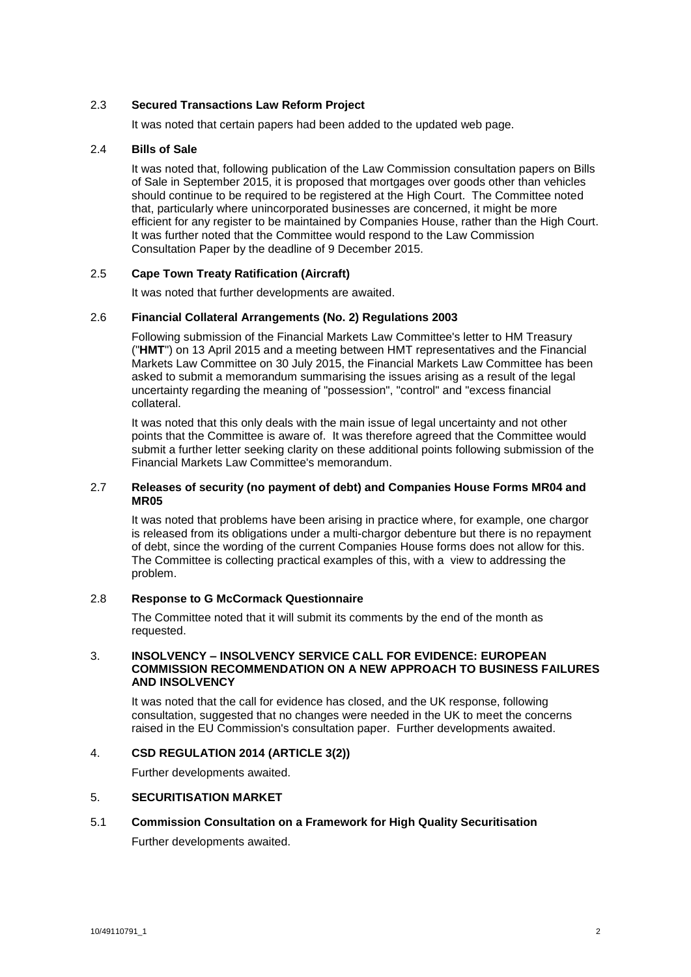# 2.3 **Secured Transactions Law Reform Project**

It was noted that certain papers had been added to the updated web page.

# 2.4 **Bills of Sale**

It was noted that, following publication of the Law Commission consultation papers on Bills of Sale in September 2015, it is proposed that mortgages over goods other than vehicles should continue to be required to be registered at the High Court. The Committee noted that, particularly where unincorporated businesses are concerned, it might be more efficient for any register to be maintained by Companies House, rather than the High Court. It was further noted that the Committee would respond to the Law Commission Consultation Paper by the deadline of 9 December 2015.

# 2.5 **Cape Town Treaty Ratification (Aircraft)**

It was noted that further developments are awaited.

#### 2.6 **Financial Collateral Arrangements (No. 2) Regulations 2003**

Following submission of the Financial Markets Law Committee's letter to HM Treasury ("**HMT**") on 13 April 2015 and a meeting between HMT representatives and the Financial Markets Law Committee on 30 July 2015, the Financial Markets Law Committee has been asked to submit a memorandum summarising the issues arising as a result of the legal uncertainty regarding the meaning of "possession", "control" and "excess financial collateral.

It was noted that this only deals with the main issue of legal uncertainty and not other points that the Committee is aware of. It was therefore agreed that the Committee would submit a further letter seeking clarity on these additional points following submission of the Financial Markets Law Committee's memorandum.

### 2.7 **Releases of security (no payment of debt) and Companies House Forms MR04 and MR05**

It was noted that problems have been arising in practice where, for example, one chargor is released from its obligations under a multi-chargor debenture but there is no repayment of debt, since the wording of the current Companies House forms does not allow for this. The Committee is collecting practical examples of this, with a view to addressing the problem.

#### 2.8 **Response to G McCormack Questionnaire**

The Committee noted that it will submit its comments by the end of the month as requested.

#### 3. **INSOLVENCY – INSOLVENCY SERVICE CALL FOR EVIDENCE: EUROPEAN COMMISSION RECOMMENDATION ON A NEW APPROACH TO BUSINESS FAILURES AND INSOLVENCY**

It was noted that the call for evidence has closed, and the UK response, following consultation, suggested that no changes were needed in the UK to meet the concerns raised in the EU Commission's consultation paper. Further developments awaited.

#### 4. **CSD REGULATION 2014 (ARTICLE 3(2))**

Further developments awaited.

# 5. **SECURITISATION MARKET**

# 5.1 **Commission Consultation on a Framework for High Quality Securitisation** Further developments awaited.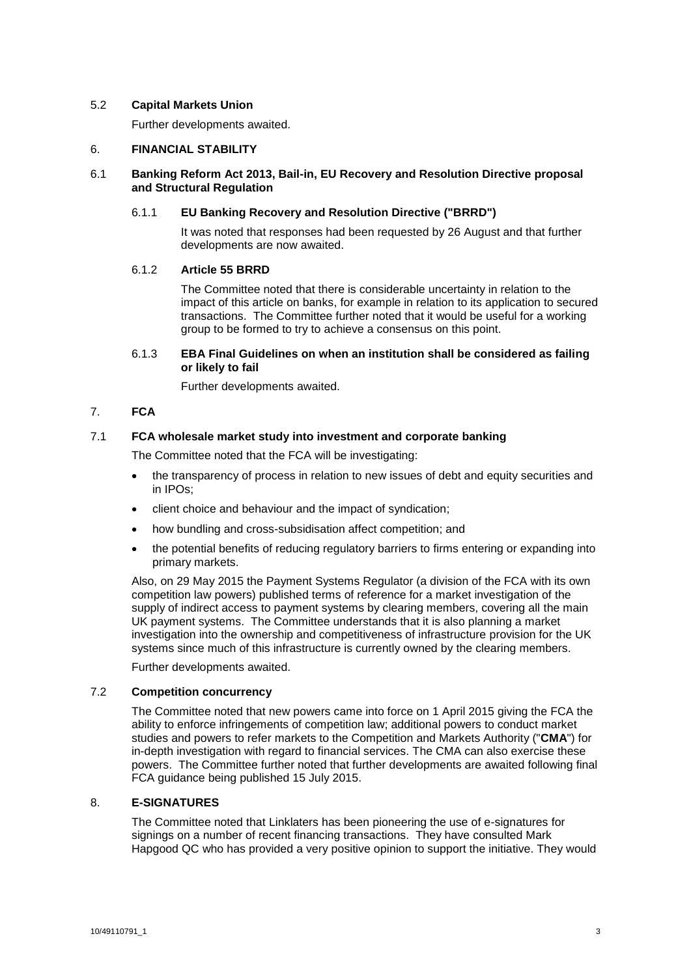### 5.2 **Capital Markets Union**

Further developments awaited.

# 6. **FINANCIAL STABILITY**

# 6.1 **Banking Reform Act 2013, Bail-in, EU Recovery and Resolution Directive proposal and Structural Regulation**

# 6.1.1 **EU Banking Recovery and Resolution Directive ("BRRD")**

It was noted that responses had been requested by 26 August and that further developments are now awaited.

# 6.1.2 **Article 55 BRRD**

The Committee noted that there is considerable uncertainty in relation to the impact of this article on banks, for example in relation to its application to secured transactions. The Committee further noted that it would be useful for a working group to be formed to try to achieve a consensus on this point.

# 6.1.3 **EBA Final Guidelines on when an institution shall be considered as failing or likely to fail**

Further developments awaited.

# 7. **FCA**

# 7.1 **FCA wholesale market study into investment and corporate banking**

The Committee noted that the FCA will be investigating:

- the transparency of process in relation to new issues of debt and equity securities and in IPOs;
- client choice and behaviour and the impact of syndication;
- how bundling and cross-subsidisation affect competition; and
- the potential benefits of reducing regulatory barriers to firms entering or expanding into primary markets.

Also, on 29 May 2015 the Payment Systems Regulator (a division of the FCA with its own competition law powers) published terms of reference for a market investigation of the supply of indirect access to payment systems by clearing members, covering all the main UK payment systems. The Committee understands that it is also planning a market investigation into the ownership and competitiveness of infrastructure provision for the UK systems since much of this infrastructure is currently owned by the clearing members.

Further developments awaited.

# 7.2 **Competition concurrency**

The Committee noted that new powers came into force on 1 April 2015 giving the FCA the ability to enforce infringements of competition law; additional powers to conduct market studies and powers to refer markets to the Competition and Markets Authority ("**CMA**") for in-depth investigation with regard to financial services. The CMA can also exercise these powers. The Committee further noted that further developments are awaited following final FCA guidance being published 15 July 2015.

#### 8. **E-SIGNATURES**

The Committee noted that Linklaters has been pioneering the use of e-signatures for signings on a number of recent financing transactions. They have consulted Mark Hapgood QC who has provided a very positive opinion to support the initiative. They would